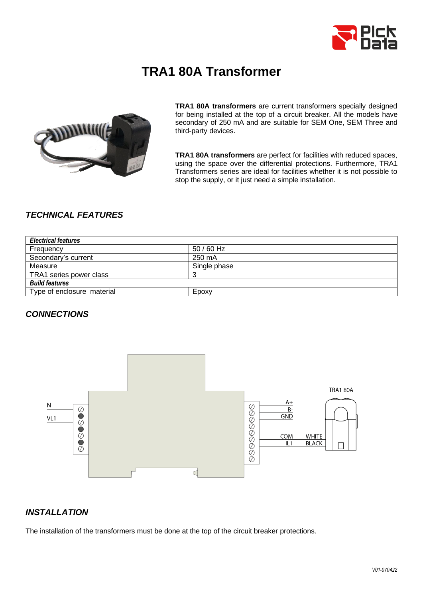

# **TRA1 80A Transformer**



**TRA1 80A transformers** are current transformers specially designed for being installed at the top of a circuit breaker. All the models have secondary of 250 mA and are suitable for SEM One, SEM Three and third-party devices.

**TRA1 80A transformers** are perfect for facilities with reduced spaces, using the space over the differential protections. Furthermore, TRA1 Transformers series are ideal for facilities whether it is not possible to stop the supply, or it just need a simple installation.

# *TECHNICAL FEATURES*

| <b>Electrical features</b> |              |
|----------------------------|--------------|
| Frequency                  | 50 / 60 Hz   |
| Secondary's current        | 250 mA       |
| Measure                    | Single phase |
| TRA1 series power class    |              |
| <b>Build features</b>      |              |
| Type of enclosure material | Epoxy        |

#### *CONNECTIONS*



# *INSTALLATION*

The installation of the transformers must be done at the top of the circuit breaker protections.